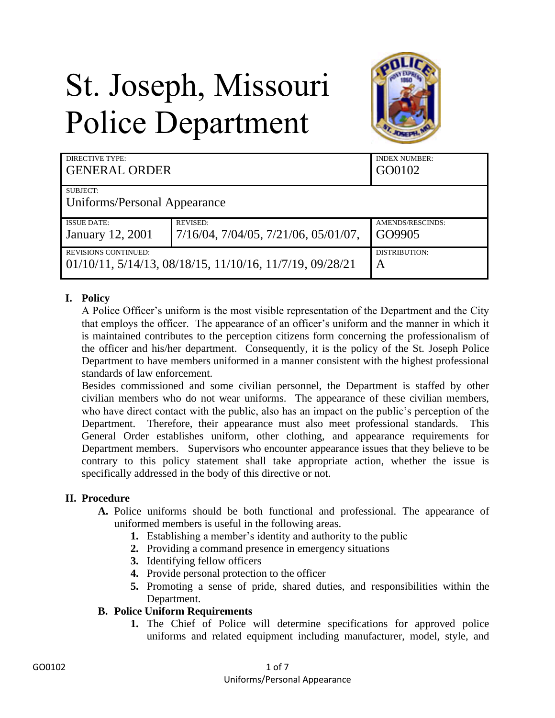# St. Joseph, Missouri Police Department



| <b>DIRECTIVE TYPE:</b><br><b>GENERAL ORDER</b>           |                                                  | <b>INDEX NUMBER:</b><br>GO0102 |
|----------------------------------------------------------|--------------------------------------------------|--------------------------------|
| SUBJECT:                                                 |                                                  |                                |
| Uniforms/Personal Appearance                             |                                                  |                                |
| <b>ISSUE DATE:</b>                                       | <b>REVISED:</b>                                  | AMENDS/RESCINDS:               |
| <b>January 12, 2001</b>                                  | $7/16/04$ , $7/04/05$ , $7/21/06$ , $05/01/07$ , | GO9905                         |
| <b>REVISIONS CONTINUED:</b>                              |                                                  | DISTRIBUTION:                  |
| 01/10/11, 5/14/13, 08/18/15, 11/10/16, 11/7/19, 09/28/21 |                                                  | $\mathsf{A}$                   |

# **I. Policy**

A Police Officer's uniform is the most visible representation of the Department and the City that employs the officer. The appearance of an officer's uniform and the manner in which it is maintained contributes to the perception citizens form concerning the professionalism of the officer and his/her department. Consequently, it is the policy of the St. Joseph Police Department to have members uniformed in a manner consistent with the highest professional standards of law enforcement.

Besides commissioned and some civilian personnel, the Department is staffed by other civilian members who do not wear uniforms. The appearance of these civilian members, who have direct contact with the public, also has an impact on the public's perception of the Department. Therefore, their appearance must also meet professional standards. This General Order establishes uniform, other clothing, and appearance requirements for Department members. Supervisors who encounter appearance issues that they believe to be contrary to this policy statement shall take appropriate action, whether the issue is specifically addressed in the body of this directive or not.

#### **II. Procedure**

- **A.** Police uniforms should be both functional and professional. The appearance of uniformed members is useful in the following areas.
	- **1.** Establishing a member's identity and authority to the public
	- **2.** Providing a command presence in emergency situations
	- **3.** Identifying fellow officers
	- **4.** Provide personal protection to the officer
	- **5.** Promoting a sense of pride, shared duties, and responsibilities within the Department.

#### **B. Police Uniform Requirements**

**1.** The Chief of Police will determine specifications for approved police uniforms and related equipment including manufacturer, model, style, and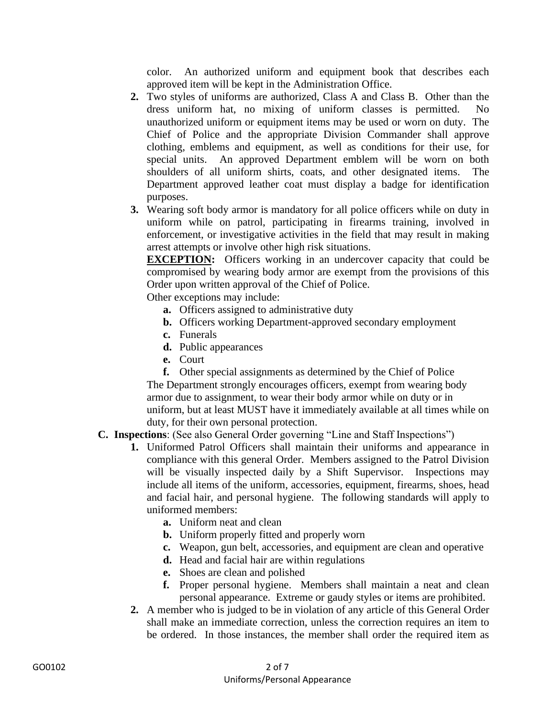color. An authorized uniform and equipment book that describes each approved item will be kept in the Administration Office.

- **2.** Two styles of uniforms are authorized, Class A and Class B. Other than the dress uniform hat, no mixing of uniform classes is permitted. No unauthorized uniform or equipment items may be used or worn on duty. The Chief of Police and the appropriate Division Commander shall approve clothing, emblems and equipment, as well as conditions for their use, for special units. An approved Department emblem will be worn on both shoulders of all uniform shirts, coats, and other designated items. The Department approved leather coat must display a badge for identification purposes.
- **3.** Wearing soft body armor is mandatory for all police officers while on duty in uniform while on patrol, participating in firearms training, involved in enforcement, or investigative activities in the field that may result in making arrest attempts or involve other high risk situations.

**EXCEPTION:** Officers working in an undercover capacity that could be compromised by wearing body armor are exempt from the provisions of this Order upon written approval of the Chief of Police.

Other exceptions may include:

- **a.** Officers assigned to administrative duty
- **b.** Officers working Department-approved secondary employment
- **c.** Funerals
- **d.** Public appearances
- **e.** Court

**f.** Other special assignments as determined by the Chief of Police The Department strongly encourages officers, exempt from wearing body armor due to assignment, to wear their body armor while on duty or in uniform, but at least MUST have it immediately available at all times while on duty, for their own personal protection.

- **C. Inspections**: (See also General Order governing "Line and Staff Inspections")
	- **1.** Uniformed Patrol Officers shall maintain their uniforms and appearance in compliance with this general Order. Members assigned to the Patrol Division will be visually inspected daily by a Shift Supervisor. Inspections may include all items of the uniform, accessories, equipment, firearms, shoes, head and facial hair, and personal hygiene. The following standards will apply to uniformed members:
		- **a.** Uniform neat and clean
		- **b.** Uniform properly fitted and properly worn
		- **c.** Weapon, gun belt, accessories, and equipment are clean and operative
		- **d.** Head and facial hair are within regulations
		- **e.** Shoes are clean and polished
		- **f.** Proper personal hygiene. Members shall maintain a neat and clean personal appearance. Extreme or gaudy styles or items are prohibited.
	- **2.** A member who is judged to be in violation of any article of this General Order shall make an immediate correction, unless the correction requires an item to be ordered. In those instances, the member shall order the required item as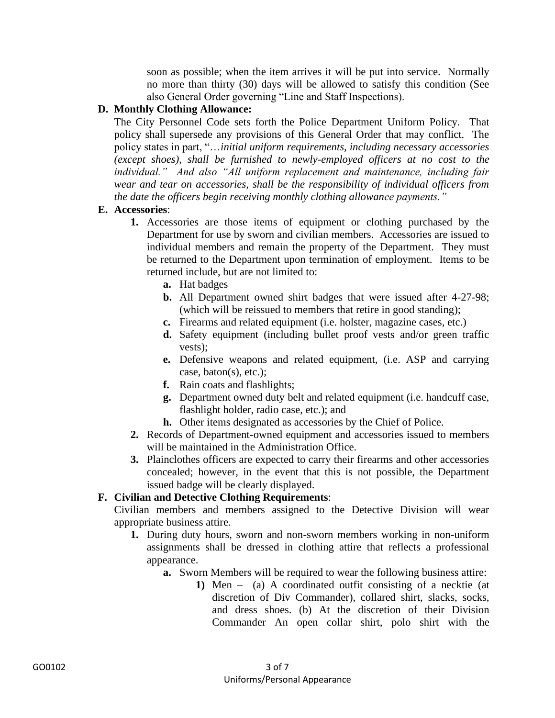soon as possible; when the item arrives it will be put into service. Normally no more than thirty (30) days will be allowed to satisfy this condition (See also General Order governing "Line and Staff Inspections).

#### **D. Monthly Clothing Allowance:**

The City Personnel Code sets forth the Police Department Uniform Policy. That policy shall supersede any provisions of this General Order that may conflict. The policy states in part, "…*initial uniform requirements, including necessary accessories (except shoes), shall be furnished to newly-employed officers at no cost to the individual." And also "All uniform replacement and maintenance, including fair wear and tear on accessories, shall be the responsibility of individual officers from the date the officers begin receiving monthly clothing allowance payments."*

# **E. Accessories**:

- **1.** Accessories are those items of equipment or clothing purchased by the Department for use by sworn and civilian members. Accessories are issued to individual members and remain the property of the Department. They must be returned to the Department upon termination of employment. Items to be returned include, but are not limited to:
	- **a.** Hat badges
	- **b.** All Department owned shirt badges that were issued after 4-27-98; (which will be reissued to members that retire in good standing);
	- **c.** Firearms and related equipment (i.e. holster, magazine cases, etc.)
	- **d.** Safety equipment (including bullet proof vests and/or green traffic vests);
	- **e.** Defensive weapons and related equipment, (i.e. ASP and carrying case, baton(s), etc.);
	- **f.** Rain coats and flashlights;
	- **g.** Department owned duty belt and related equipment (i.e. handcuff case, flashlight holder, radio case, etc.); and
	- **h.** Other items designated as accessories by the Chief of Police.
- **2.** Records of Department-owned equipment and accessories issued to members will be maintained in the Administration Office.
- **3.** Plainclothes officers are expected to carry their firearms and other accessories concealed; however, in the event that this is not possible, the Department issued badge will be clearly displayed.

# **F. Civilian and Detective Clothing Requirements**:

Civilian members and members assigned to the Detective Division will wear appropriate business attire.

- **1.** During duty hours, sworn and non-sworn members working in non-uniform assignments shall be dressed in clothing attire that reflects a professional appearance.
	- **a.** Sworn Members will be required to wear the following business attire:
		- **1)** Men (a) A coordinated outfit consisting of a necktie (at discretion of Div Commander), collared shirt, slacks, socks, and dress shoes. (b) At the discretion of their Division Commander An open collar shirt, polo shirt with the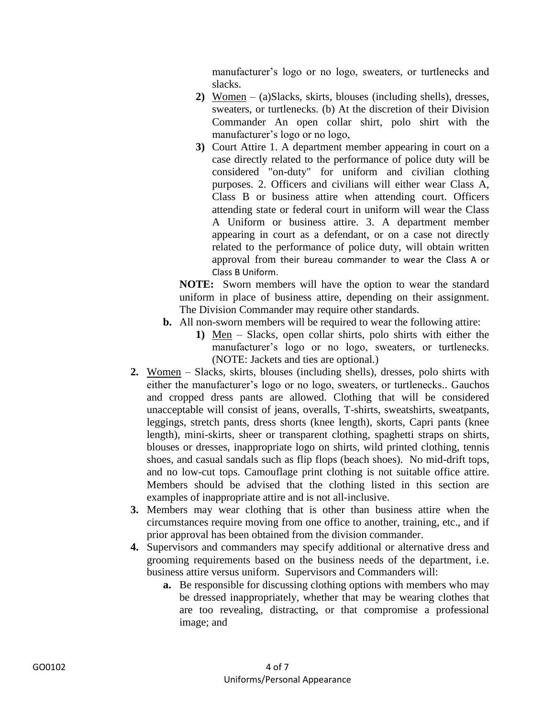manufacturer's logo or no logo, sweaters, or turtlenecks and slacks.

- **2)** Women (a)Slacks, skirts, blouses (including shells), dresses, sweaters, or turtlenecks. (b) At the discretion of their Division Commander An open collar shirt, polo shirt with the manufacturer's logo or no logo,
- **3)** Court Attire 1. A department member appearing in court on a case directly related to the performance of police duty will be considered "on-duty" for uniform and civilian clothing purposes. 2. Officers and civilians will either wear Class A, Class B or business attire when attending court. Officers attending state or federal court in uniform will wear the Class A Uniform or business attire. 3. A department member appearing in court as a defendant, or on a case not directly related to the performance of police duty, will obtain written approval from their bureau commander to wear the Class A or Class B Uniform.

**NOTE:** Sworn members will have the option to wear the standard uniform in place of business attire, depending on their assignment. The Division Commander may require other standards.

- **b.** All non-sworn members will be required to wear the following attire:
	- **1)** Men Slacks, open collar shirts, polo shirts with either the manufacturer's logo or no logo, sweaters, or turtlenecks. (NOTE: Jackets and ties are optional.)
- **2.** Women Slacks, skirts, blouses (including shells), dresses, polo shirts with either the manufacturer's logo or no logo, sweaters, or turtlenecks.. Gauchos and cropped dress pants are allowed. Clothing that will be considered unacceptable will consist of jeans, overalls, T-shirts, sweatshirts, sweatpants, leggings, stretch pants, dress shorts (knee length), skorts, Capri pants (knee length), mini-skirts, sheer or transparent clothing, spaghetti straps on shirts, blouses or dresses, inappropriate logo on shirts, wild printed clothing, tennis shoes, and casual sandals such as flip flops (beach shoes). No mid-drift tops, and no low-cut tops. Camouflage print clothing is not suitable office attire. Members should be advised that the clothing listed in this section are examples of inappropriate attire and is not all-inclusive.
- **3.** Members may wear clothing that is other than business attire when the circumstances require moving from one office to another, training, etc., and if prior approval has been obtained from the division commander.
- **4.** Supervisors and commanders may specify additional or alternative dress and grooming requirements based on the business needs of the department, i.e. business attire versus uniform. Supervisors and Commanders will:
	- **a.** Be responsible for discussing clothing options with members who may be dressed inappropriately, whether that may be wearing clothes that are too revealing, distracting, or that compromise a professional image; and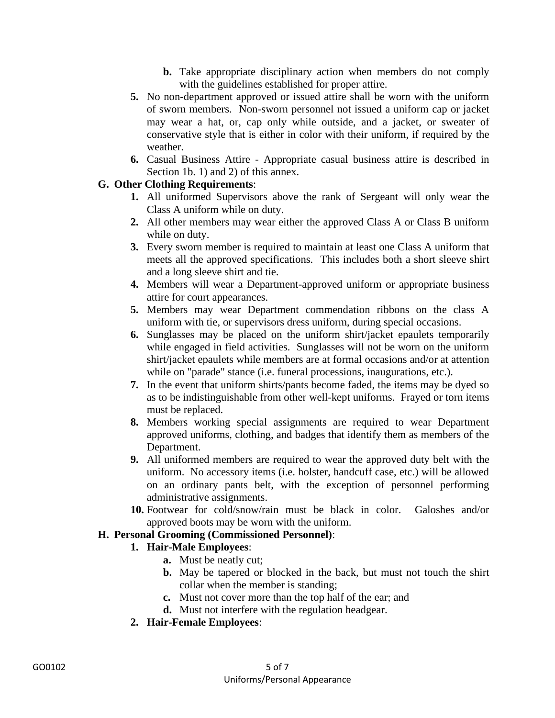- **b.** Take appropriate disciplinary action when members do not comply with the guidelines established for proper attire.
- **5.** No non-department approved or issued attire shall be worn with the uniform of sworn members. Non-sworn personnel not issued a uniform cap or jacket may wear a hat, or, cap only while outside, and a jacket, or sweater of conservative style that is either in color with their uniform, if required by the weather.
- **6.** Casual Business Attire Appropriate casual business attire is described in Section 1b. 1) and 2) of this annex.

# **G. Other Clothing Requirements**:

- **1.** All uniformed Supervisors above the rank of Sergeant will only wear the Class A uniform while on duty.
- **2.** All other members may wear either the approved Class A or Class B uniform while on duty.
- **3.** Every sworn member is required to maintain at least one Class A uniform that meets all the approved specifications. This includes both a short sleeve shirt and a long sleeve shirt and tie.
- **4.** Members will wear a Department-approved uniform or appropriate business attire for court appearances.
- **5.** Members may wear Department commendation ribbons on the class A uniform with tie, or supervisors dress uniform, during special occasions.
- **6.** Sunglasses may be placed on the uniform shirt/jacket epaulets temporarily while engaged in field activities. Sunglasses will not be worn on the uniform shirt/jacket epaulets while members are at formal occasions and/or at attention while on "parade" stance (i.e. funeral processions, inaugurations, etc.).
- **7.** In the event that uniform shirts/pants become faded, the items may be dyed so as to be indistinguishable from other well-kept uniforms. Frayed or torn items must be replaced.
- **8.** Members working special assignments are required to wear Department approved uniforms, clothing, and badges that identify them as members of the Department.
- **9.** All uniformed members are required to wear the approved duty belt with the uniform. No accessory items (i.e. holster, handcuff case, etc.) will be allowed on an ordinary pants belt, with the exception of personnel performing administrative assignments.
- **10.** Footwear for cold/snow/rain must be black in color. Galoshes and/or approved boots may be worn with the uniform.

#### **H. Personal Grooming (Commissioned Personnel)**:

#### **1. Hair-Male Employees**:

- **a.** Must be neatly cut;
- **b.** May be tapered or blocked in the back, but must not touch the shirt collar when the member is standing;
- **c.** Must not cover more than the top half of the ear; and
- **d.** Must not interfere with the regulation headgear.
- **2. Hair-Female Employees**: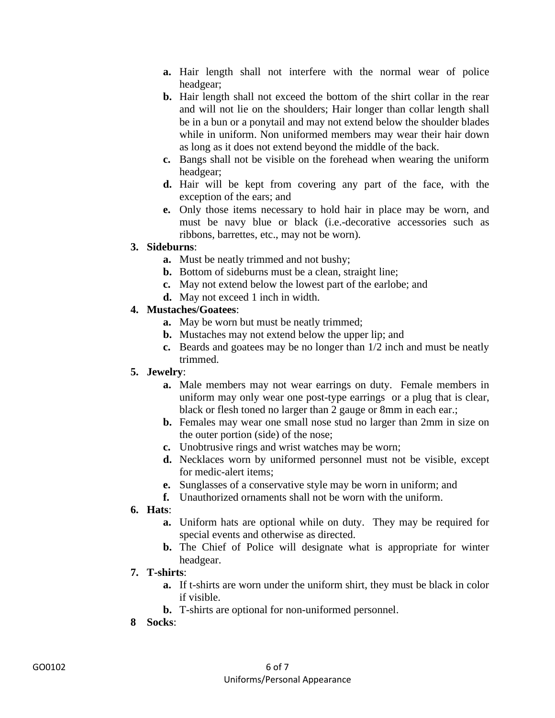- **a.** Hair length shall not interfere with the normal wear of police headgear;
- **b.** Hair length shall not exceed the bottom of the shirt collar in the rear and will not lie on the shoulders; Hair longer than collar length shall be in a bun or a ponytail and may not extend below the shoulder blades while in uniform. Non uniformed members may wear their hair down as long as it does not extend beyond the middle of the back.
- **c.** Bangs shall not be visible on the forehead when wearing the uniform headgear;
- **d.** Hair will be kept from covering any part of the face, with the exception of the ears; and
- **e.** Only those items necessary to hold hair in place may be worn, and must be navy blue or black (i.e.-decorative accessories such as ribbons, barrettes, etc., may not be worn).

#### **3. Sideburns**:

- **a.** Must be neatly trimmed and not bushy;
- **b.** Bottom of sideburns must be a clean, straight line;
- **c.** May not extend below the lowest part of the earlobe; and
- **d.** May not exceed 1 inch in width.

#### **4. Mustaches/Goatees**:

- **a.** May be worn but must be neatly trimmed;
- **b.** Mustaches may not extend below the upper lip; and
- **c.** Beards and goatees may be no longer than 1/2 inch and must be neatly trimmed.

#### **5. Jewelry**:

- **a.** Male members may not wear earrings on duty. Female members in uniform may only wear one post-type earrings or a plug that is clear, black or flesh toned no larger than 2 gauge or 8mm in each ear.;
- **b.** Females may wear one small nose stud no larger than 2mm in size on the outer portion (side) of the nose;
- **c.** Unobtrusive rings and wrist watches may be worn;
- **d.** Necklaces worn by uniformed personnel must not be visible, except for medic-alert items;
- **e.** Sunglasses of a conservative style may be worn in uniform; and
- **f.** Unauthorized ornaments shall not be worn with the uniform.
- **6. Hats**:
	- **a.** Uniform hats are optional while on duty. They may be required for special events and otherwise as directed.
	- **b.** The Chief of Police will designate what is appropriate for winter headgear.

#### **7. T-shirts**:

- **a.** If t-shirts are worn under the uniform shirt, they must be black in color if visible.
- **b.** T-shirts are optional for non-uniformed personnel.
- **8 Socks**: